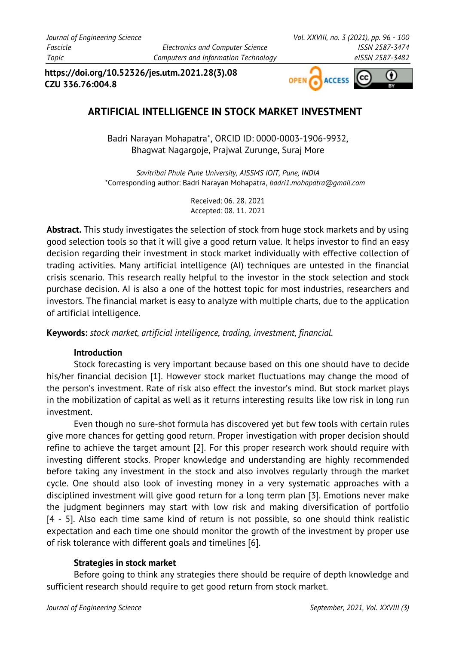**https://doi.org/10.52326/jes.utm.2021.28(3).08 CZU 336.76:004.8**



# **ARTIFICIAL INTELLIGENCE IN STOCK MARKET INVESTMENT**

Badri Narayan Mohapatra\*, ORCID ID: 0000-0003-1906-9932, Bhagwat Nagargoje, Prajwal Zurunge, Suraj More

*Savitribai Phule Pune University, AISSMS IOIT, Pune, INDIA* \*Corresponding author: Badri Narayan Mohapatra, *badri1.mohapatra@gmail.com*

> Received: 06. 28. 2021 Accepted: 08. 11. 2021

**Abstract.** This study investigates the selection of stock from huge stock markets and by using good selection tools so that it will give a good return value. It helps investor to find an easy decision regarding their investment in stock market individually with effective collection of trading activities. Many artificial intelligence (AI) techniques are untested in the financial crisis scenario. This research really helpful to the investor in the stock selection and stock purchase decision. AI is also a one of the hottest topic for most industries, researchers and investors. The financial market is easy to analyze with multiple charts, due to the application of artificial intelligence.

**Keywords:** *stock market, artificial intelligence, trading, investment, financial.*

# **Introduction**

Stock forecasting is very important because based on this one should have to decide his/her financial decision [1]. However stock market fluctuations may change the mood of the person's investment. Rate of risk also effect the investor's mind. But stock market plays in the mobilization of capital as well as it returns interesting results like low risk in long run investment.

Even though no sure-shot formula has discovered yet but few tools with certain rules give more chances for getting good return. Proper investigation with proper decision should refine to achieve the target amount [2]. For this proper research work should require with investing different stocks. Proper knowledge and understanding are highly recommended before taking any investment in the stock and also involves regularly through the market cycle. One should also look of investing money in a very systematic approaches with a disciplined investment will give good return for a long term plan [3]. Emotions never make the judgment beginners may start with low risk and making diversification of portfolio [4 - 5]. Also each time same kind of return is not possible, so one should think realistic expectation and each time one should monitor the growth of the investment by proper use of risk tolerance with different goals and timelines [6].

# **Strategies in stock market**

Before going to think any strategies there should be require of depth knowledge and sufficient research should require to get good return from stock market.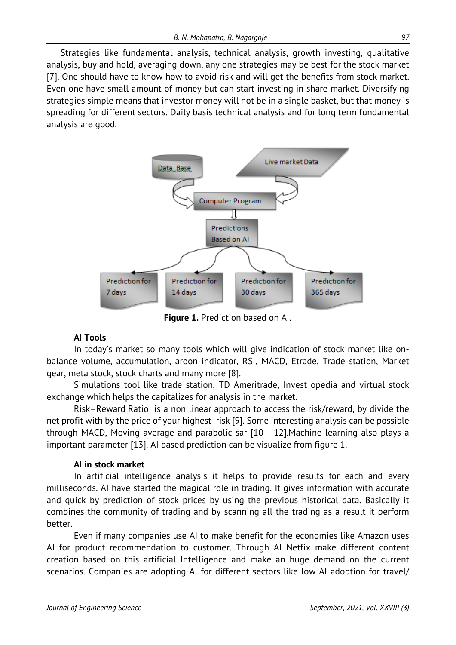Strategies like fundamental analysis, technical analysis, growth investing, qualitative analysis, buy and hold, averaging down, any one strategies may be best for the stock market [7]. One should have to know how to avoid risk and will get the benefits from stock market. Even one have small amount of money but can start investing in share market. Diversifying strategies simple means that investor money will not be in a single basket, but that money is spreading for different sectors. Daily basis technical analysis and for long term fundamental analysis are good.



**Figure 1.** Prediction based on AI.

# **AI Tools**

In today's market so many tools which will give indication of stock market like onbalance volume, accumulation, aroon indicator, RSI, MACD, Etrade, Trade station, Market gear, meta stock, stock charts and many more [8].

Simulations tool like trade station, TD Ameritrade, Invest opedia and virtual stock exchange which helps the capitalizes for analysis in the market.

Risk–Reward Ratio is a non linear approach to access the risk/reward, by divide the net profit with by the price of your highest risk [9]. Some interesting analysis can be possible through MACD, Moving average and parabolic sar [10 - 12].Machine learning also plays a important parameter [13]. AI based prediction can be visualize from figure 1.

# **AI in stock market**

In artificial intelligence analysis it helps to provide results for each and every milliseconds. AI have started the magical role in trading. It gives information with accurate and quick by prediction of stock prices by using the previous historical data. Basically it combines the community of trading and by scanning all the trading as a result it perform better.

Even if many companies use AI to make benefit for the economies like Amazon uses AI for product recommendation to customer. Through AI Netfix make different content creation based on this artificial Intelligence and make an huge demand on the current scenarios. Companies are adopting AI for different sectors like low AI adoption for travel/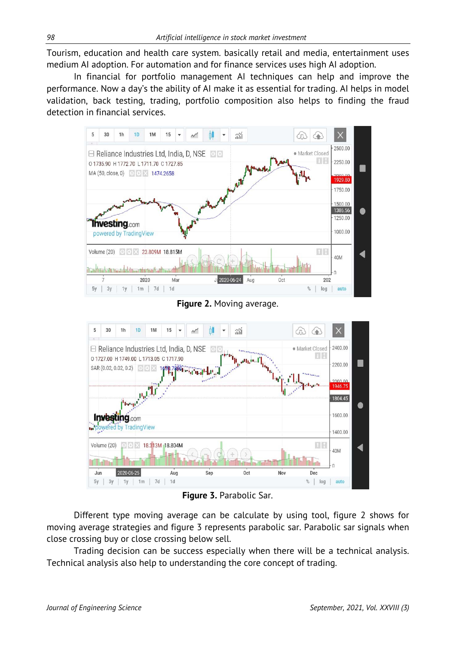Tourism, education and health care system. basically retail and media, entertainment uses medium AI adoption. For automation and for finance services uses high AI adoption.

In financial for portfolio management AI techniques can help and improve the performance. Now a day's the ability of AI make it as essential for trading. AI helps in model validation, back testing, trading, portfolio composition also helps to finding the fraud detection in financial services.



**Figure 2.** Moving average.



**Figure 3.** Parabolic Sar.

Different type moving average can be calculate by using tool, figure 2 shows for moving average strategies and figure 3 represents parabolic sar. Parabolic sar signals when close crossing buy or close crossing below sell.

Trading decision can be success especially when there will be a technical analysis. Technical analysis also help to understanding the core concept of trading.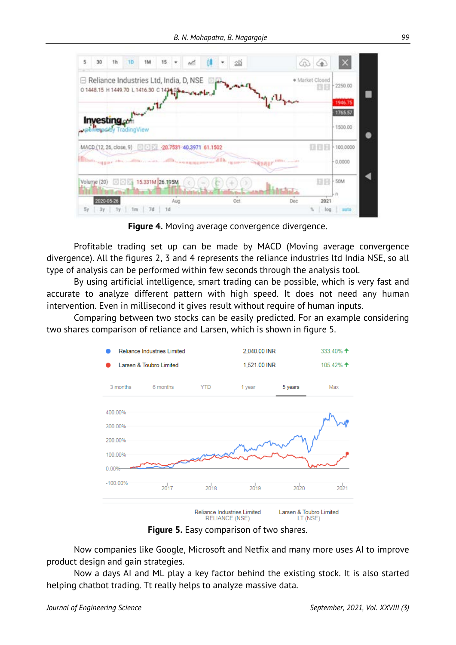| 5  | 30                                    | 1h | 10                   | 1M                                                                                                                    | 15 |     |  |  |  |  | $2\%$ |  |              |        | යා<br>$\left( \frac{1}{2} \right)$ |                    |  |
|----|---------------------------------------|----|----------------------|-----------------------------------------------------------------------------------------------------------------------|----|-----|--|--|--|--|-------|--|--------------|--------|------------------------------------|--------------------|--|
|    |                                       |    |                      | ⊟ Reliance Industries Ltd, India, D, NSE<br>01448.15 H 1449.70 L 1416.30 C 142105 -- 124-FL                           |    |     |  |  |  |  |       |  |              |        | · Market Closed                    | 2250.00            |  |
|    |                                       |    |                      | Avenue Tr                                                                                                             |    |     |  |  |  |  |       |  | <b>LA CU</b> |        |                                    | 1946.75<br>1765.57 |  |
|    | Investing <sub>con</sub>              |    | Wered by TradingView |                                                                                                                       |    |     |  |  |  |  |       |  |              |        |                                    | 1500.00            |  |
|    |                                       |    |                      | MACD (12, 26, close, 9) 0 2 20.7531 40.3971 61.1502                                                                   |    |     |  |  |  |  |       |  |              |        | 88 B                               | 100,0000           |  |
|    |                                       |    |                      | <b>Millions aggregates and continues were continuous aggregations of the aggregates of the property of the second</b> |    |     |  |  |  |  |       |  |              |        |                                    | 0.0000             |  |
|    | 15.331M 26.195M<br>Volume (20)<br>00X |    |                      |                                                                                                                       |    |     |  |  |  |  |       |  |              | 53 S C | 50M                                |                    |  |
|    | 2020-05-26                            |    |                      |                                                                                                                       |    | Aug |  |  |  |  | Oct   |  |              | Dec    | 2021                               |                    |  |
| 5y | 3y                                    | 1y | 1m                   | 7d                                                                                                                    | 1d |     |  |  |  |  |       |  |              |        | log                                | auto               |  |

**Figure 4.** Moving average convergence divergence.

Profitable trading set up can be made by MACD (Moving average convergence divergence). All the figures 2, 3 and 4 represents the reliance industries ltd India NSE, so all type of analysis can be performed within few seconds through the analysis tool.

By using artificial intelligence, smart trading can be possible, which is very fast and accurate to analyze different pattern with high speed. It does not need any human intervention. Even in millisecond it gives result without require of human inputs.

Comparing between two stocks can be easily predicted. For an example considering two shares comparison of reliance and Larsen, which is shown in figure 5.



**Figure 5.** Easy comparison of two shares.

Now companies like Google, Microsoft and Netfix and many more uses AI to improve product design and gain strategies.

Now a days AI and ML play a key factor behind the existing stock. It is also started helping chatbot trading. Tt really helps to analyze massive data.